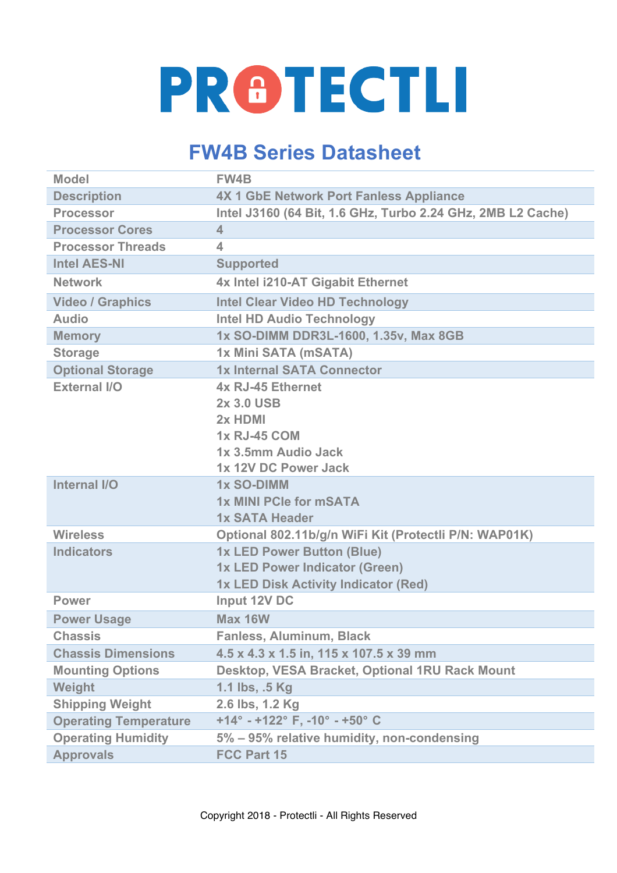## **PRETECTLI**

## **FW4B Series Datasheet**

| <b>Model</b>                 | <b>FW4B</b>                                                           |
|------------------------------|-----------------------------------------------------------------------|
| <b>Description</b>           | <b>4X 1 GbE Network Port Fanless Appliance</b>                        |
| <b>Processor</b>             | Intel J3160 (64 Bit, 1.6 GHz, Turbo 2.24 GHz, 2MB L2 Cache)           |
| <b>Processor Cores</b>       | $\overline{\mathbf{4}}$                                               |
| <b>Processor Threads</b>     | $\overline{\mathbf{4}}$                                               |
| <b>Intel AES-NI</b>          | <b>Supported</b>                                                      |
| <b>Network</b>               | 4x Intel i210-AT Gigabit Ethernet                                     |
| <b>Video / Graphics</b>      | <b>Intel Clear Video HD Technology</b>                                |
| <b>Audio</b>                 | <b>Intel HD Audio Technology</b>                                      |
| <b>Memory</b>                | 1x SO-DIMM DDR3L-1600, 1.35v, Max 8GB                                 |
| <b>Storage</b>               | 1x Mini SATA (mSATA)                                                  |
| <b>Optional Storage</b>      | 1x Internal SATA Connector                                            |
| <b>External I/O</b>          | 4x RJ-45 Ethernet                                                     |
|                              | 2x 3.0 USB                                                            |
|                              | 2x HDMI                                                               |
|                              | <b>1x RJ-45 COM</b>                                                   |
|                              | 1x 3.5mm Audio Jack                                                   |
|                              | 1x 12V DC Power Jack                                                  |
| Internal I/O                 | <b>1x SO-DIMM</b>                                                     |
|                              | 1x MINI PCIe for mSATA                                                |
|                              | <b>1x SATA Header</b>                                                 |
| <b>Wireless</b>              | Optional 802.11b/g/n WiFi Kit (Protectli P/N: WAP01K)                 |
| <b>Indicators</b>            | 1x LED Power Button (Blue)                                            |
|                              | 1x LED Power Indicator (Green)                                        |
|                              | 1x LED Disk Activity Indicator (Red)                                  |
| <b>Power</b>                 | Input 12V DC                                                          |
| <b>Power Usage</b>           | Max 16W                                                               |
| <b>Chassis</b>               | <b>Fanless, Aluminum, Black</b>                                       |
| <b>Chassis Dimensions</b>    | 4.5 x 4.3 x 1.5 in, 115 x 107.5 x 39 mm                               |
| <b>Mounting Options</b>      | Desktop, VESA Bracket, Optional 1RU Rack Mount                        |
| Weight                       | 1.1 lbs, .5 Kg                                                        |
| <b>Shipping Weight</b>       | 2.6 lbs, 1.2 Kg                                                       |
| <b>Operating Temperature</b> | +14 $^{\circ}$ - +122 $^{\circ}$ F, -10 $^{\circ}$ - +50 $^{\circ}$ C |
| <b>Operating Humidity</b>    | 5% – 95% relative humidity, non-condensing                            |
| <b>Approvals</b>             | <b>FCC Part 15</b>                                                    |
|                              |                                                                       |